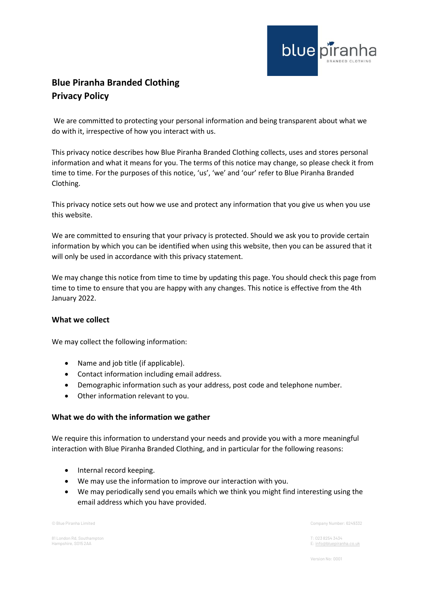

# **Blue Piranha Branded Clothing Privacy Policy**

We are committed to protecting your personal information and being transparent about what we do with it, irrespective of how you interact with us.

This privacy notice describes how Blue Piranha Branded Clothing collects, uses and stores personal information and what it means for you. The terms of this notice may change, so please check it from time to time. For the purposes of this notice, 'us', 'we' and 'our' refer to Blue Piranha Branded Clothing.

This privacy notice sets out how we use and protect any information that you give us when you use this website.

We are committed to ensuring that your privacy is protected. Should we ask you to provide certain information by which you can be identified when using this website, then you can be assured that it will only be used in accordance with this privacy statement.

We may change this notice from time to time by updating this page. You should check this page from time to time to ensure that you are happy with any changes. This notice is effective from the 4th January 2022.

### **What we collect**

We may collect the following information:

- Name and job title (if applicable).
- Contact information including email address.
- Demographic information such as your address, post code and telephone number.
- Other information relevant to you.

### **What we do with the information we gather**

We require this information to understand your needs and provide you with a more meaningful interaction with Blue Piranha Branded Clothing, and in particular for the following reasons:

- Internal record keeping.
- We may use the information to improve our interaction with you.
- We may periodically send you emails which we think you might find interesting using the email address which you have provided.

81 London Rd, Southampton T: 023 8254 3434

© Blue Piranha Limited Company Number: 6249332

E[: info@bluepiranha.co.uk](mailto:info@bluepiranha.co.uk)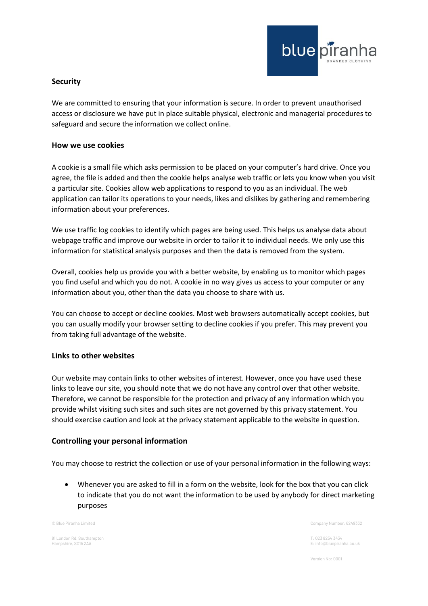

## **Security**

We are committed to ensuring that your information is secure. In order to prevent unauthorised access or disclosure we have put in place suitable physical, electronic and managerial procedures to safeguard and secure the information we collect online.

#### **How we use cookies**

A cookie is a small file which asks permission to be placed on your computer's hard drive. Once you agree, the file is added and then the cookie helps analyse web traffic or lets you know when you visit a particular site. Cookies allow web applications to respond to you as an individual. The web application can tailor its operations to your needs, likes and dislikes by gathering and remembering information about your preferences.

We use traffic log cookies to identify which pages are being used. This helps us analyse data about webpage traffic and improve our website in order to tailor it to individual needs. We only use this information for statistical analysis purposes and then the data is removed from the system.

Overall, cookies help us provide you with a better website, by enabling us to monitor which pages you find useful and which you do not. A cookie in no way gives us access to your computer or any information about you, other than the data you choose to share with us.

You can choose to accept or decline cookies. Most web browsers automatically accept cookies, but you can usually modify your browser setting to decline cookies if you prefer. This may prevent you from taking full advantage of the website.

### **Links to other websites**

Our website may contain links to other websites of interest. However, once you have used these links to leave our site, you should note that we do not have any control over that other website. Therefore, we cannot be responsible for the protection and privacy of any information which you provide whilst visiting such sites and such sites are not governed by this privacy statement. You should exercise caution and look at the privacy statement applicable to the website in question.

### **Controlling your personal information**

You may choose to restrict the collection or use of your personal information in the following ways:

• Whenever you are asked to fill in a form on the website, look for the box that you can click to indicate that you do not want the information to be used by anybody for direct marketing purposes

81 London Rd, Southampton T: 023 8254 3434

© Blue Piranha Limited Company Number: 6249332

E[: info@bluepiranha.co.uk](mailto:info@bluepiranha.co.uk)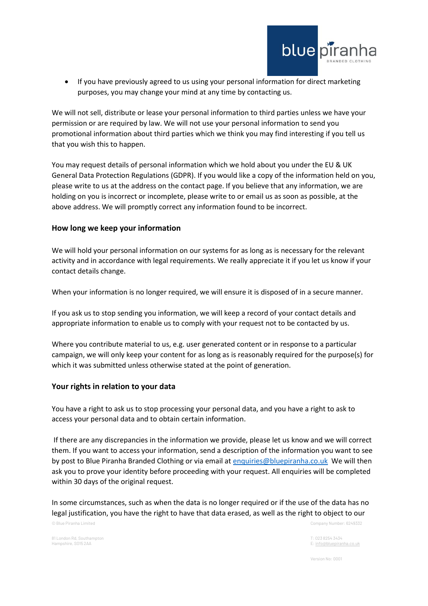

• If you have previously agreed to us using your personal information for direct marketing purposes, you may change your mind at any time by contacting us.

We will not sell, distribute or lease your personal information to third parties unless we have your permission or are required by law. We will not use your personal information to send you promotional information about third parties which we think you may find interesting if you tell us that you wish this to happen.

You may request details of personal information which we hold about you under the EU & UK General Data Protection Regulations (GDPR). If you would like a copy of the information held on you, please write to us at the address on the contact page. If you believe that any information, we are holding on you is incorrect or incomplete, please write to or email us as soon as possible, at the above address. We will promptly correct any information found to be incorrect.

#### **How long we keep your information**

We will hold your personal information on our systems for as long as is necessary for the relevant activity and in accordance with legal requirements. We really appreciate it if you let us know if your contact details change.

When your information is no longer required, we will ensure it is disposed of in a secure manner.

If you ask us to stop sending you information, we will keep a record of your contact details and appropriate information to enable us to comply with your request not to be contacted by us.

Where you contribute material to us, e.g. user generated content or in response to a particular campaign, we will only keep your content for as long as is reasonably required for the purpose(s) for which it was submitted unless otherwise stated at the point of generation.

#### **Your rights in relation to your data**

You have a right to ask us to stop processing your personal data, and you have a right to ask to access your personal data and to obtain certain information.

If there are any discrepancies in the information we provide, please let us know and we will correct them. If you want to access your information, send a description of the information you want to see by post to Blue Piranha Branded Clothing or via email at [enquiries@bluepiranha.co.uk](mailto:enquiries@bluepiranha.co.uk) We will then ask you to prove your identity before proceeding with your request. All enquiries will be completed within 30 days of the original request.

© Blue Piranha Limited Company Number: 6249332 In some circumstances, such as when the data is no longer required or if the use of the data has no legal justification, you have the right to have that data erased, as well as the right to object to our

81 London Rd, Southampton T: 023 8254 3434

E[: info@bluepiranha.co.uk](mailto:info@bluepiranha.co.uk)